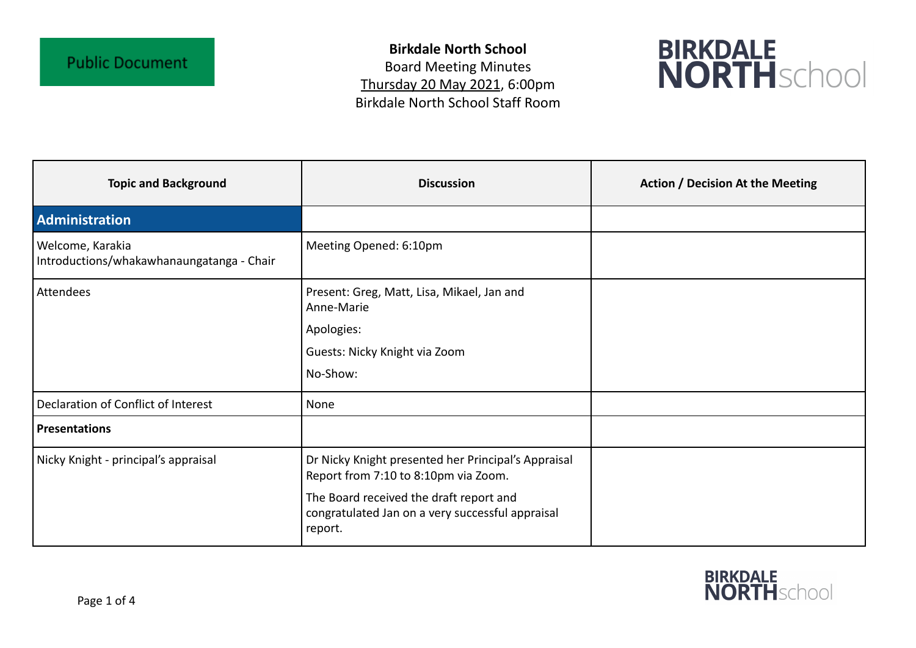**Birkdale North School** Board Meeting Minutes Thursday 20 May 2021, 6:00pm Birkdale North School Staff Room



| <b>Topic and Background</b>                                   | <b>Discussion</b>                                                                                      | <b>Action / Decision At the Meeting</b> |
|---------------------------------------------------------------|--------------------------------------------------------------------------------------------------------|-----------------------------------------|
| Administration                                                |                                                                                                        |                                         |
| Welcome, Karakia<br>Introductions/whakawhanaungatanga - Chair | Meeting Opened: 6:10pm                                                                                 |                                         |
| Attendees                                                     | Present: Greg, Matt, Lisa, Mikael, Jan and<br>Anne-Marie                                               |                                         |
|                                                               | Apologies:                                                                                             |                                         |
|                                                               | Guests: Nicky Knight via Zoom                                                                          |                                         |
|                                                               | No-Show:                                                                                               |                                         |
| Declaration of Conflict of Interest                           | None                                                                                                   |                                         |
| <b>Presentations</b>                                          |                                                                                                        |                                         |
| Nicky Knight - principal's appraisal                          | Dr Nicky Knight presented her Principal's Appraisal<br>Report from 7:10 to 8:10pm via Zoom.            |                                         |
|                                                               | The Board received the draft report and<br>congratulated Jan on a very successful appraisal<br>report. |                                         |

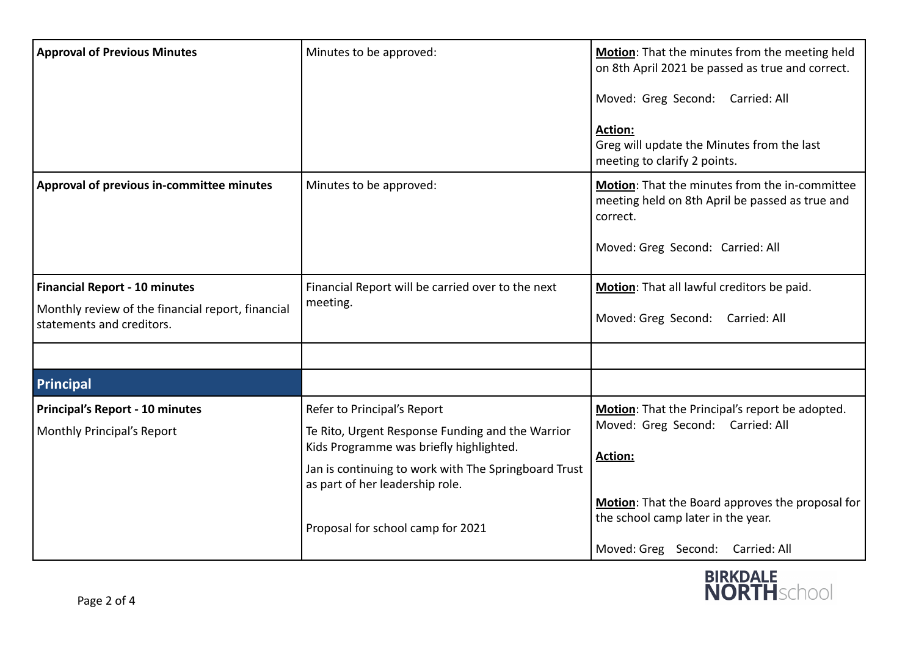| <b>Approval of Previous Minutes</b>                                                                                    | Minutes to be approved:                                                                                                                                                                                                                                    | Motion: That the minutes from the meeting held<br>on 8th April 2021 be passed as true and correct.<br>Moved: Greg Second: Carried: All<br><b>Action:</b><br>Greg will update the Minutes from the last<br>meeting to clarify 2 points. |
|------------------------------------------------------------------------------------------------------------------------|------------------------------------------------------------------------------------------------------------------------------------------------------------------------------------------------------------------------------------------------------------|----------------------------------------------------------------------------------------------------------------------------------------------------------------------------------------------------------------------------------------|
| Approval of previous in-committee minutes                                                                              | Minutes to be approved:                                                                                                                                                                                                                                    | Motion: That the minutes from the in-committee<br>meeting held on 8th April be passed as true and<br>correct.<br>Moved: Greg Second: Carried: All                                                                                      |
| <b>Financial Report - 10 minutes</b><br>Monthly review of the financial report, financial<br>statements and creditors. | Financial Report will be carried over to the next<br>meeting.                                                                                                                                                                                              | Motion: That all lawful creditors be paid.<br>Moved: Greg Second: Carried: All                                                                                                                                                         |
| Principal                                                                                                              |                                                                                                                                                                                                                                                            |                                                                                                                                                                                                                                        |
| <b>Principal's Report - 10 minutes</b><br>Monthly Principal's Report                                                   | Refer to Principal's Report<br>Te Rito, Urgent Response Funding and the Warrior<br>Kids Programme was briefly highlighted.<br>Jan is continuing to work with The Springboard Trust<br>as part of her leadership role.<br>Proposal for school camp for 2021 | Motion: That the Principal's report be adopted.<br>Moved: Greg Second: Carried: All<br><b>Action:</b><br>Motion: That the Board approves the proposal for<br>the school camp later in the year.<br>Moved: Greg Second: Carried: All    |

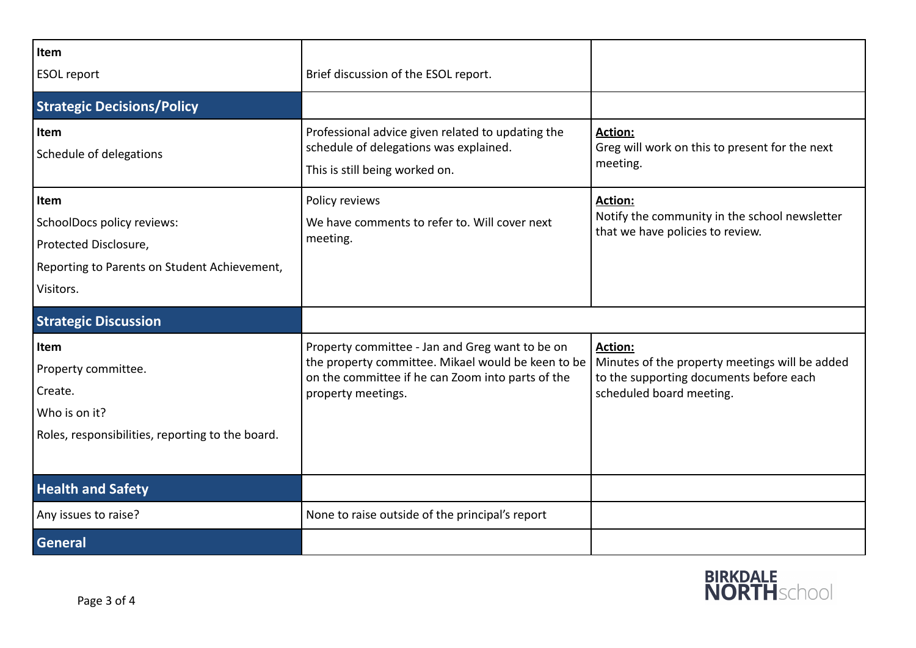| Item<br><b>ESOL report</b>                                                                                                      | Brief discussion of the ESOL report.                                                                                                                                             |                                                                                                                                  |
|---------------------------------------------------------------------------------------------------------------------------------|----------------------------------------------------------------------------------------------------------------------------------------------------------------------------------|----------------------------------------------------------------------------------------------------------------------------------|
| <b>Strategic Decisions/Policy</b>                                                                                               |                                                                                                                                                                                  |                                                                                                                                  |
| Item<br>Schedule of delegations                                                                                                 | Professional advice given related to updating the<br>schedule of delegations was explained.<br>This is still being worked on.                                                    | <b>Action:</b><br>Greg will work on this to present for the next<br>meeting.                                                     |
| <b>Item</b><br>SchoolDocs policy reviews:<br>Protected Disclosure,<br>Reporting to Parents on Student Achievement,<br>Visitors. | Policy reviews<br>We have comments to refer to. Will cover next<br>meeting.                                                                                                      | <b>Action:</b><br>Notify the community in the school newsletter<br>that we have policies to review.                              |
| <b>Strategic Discussion</b>                                                                                                     |                                                                                                                                                                                  |                                                                                                                                  |
| Item<br>Property committee.<br>Create.<br>Who is on it?<br>Roles, responsibilities, reporting to the board.                     | Property committee - Jan and Greg want to be on<br>the property committee. Mikael would be keen to be<br>on the committee if he can Zoom into parts of the<br>property meetings. | Action:<br>Minutes of the property meetings will be added<br>to the supporting documents before each<br>scheduled board meeting. |
| <b>Health and Safety</b>                                                                                                        |                                                                                                                                                                                  |                                                                                                                                  |
| Any issues to raise?                                                                                                            | None to raise outside of the principal's report                                                                                                                                  |                                                                                                                                  |
| General                                                                                                                         |                                                                                                                                                                                  |                                                                                                                                  |